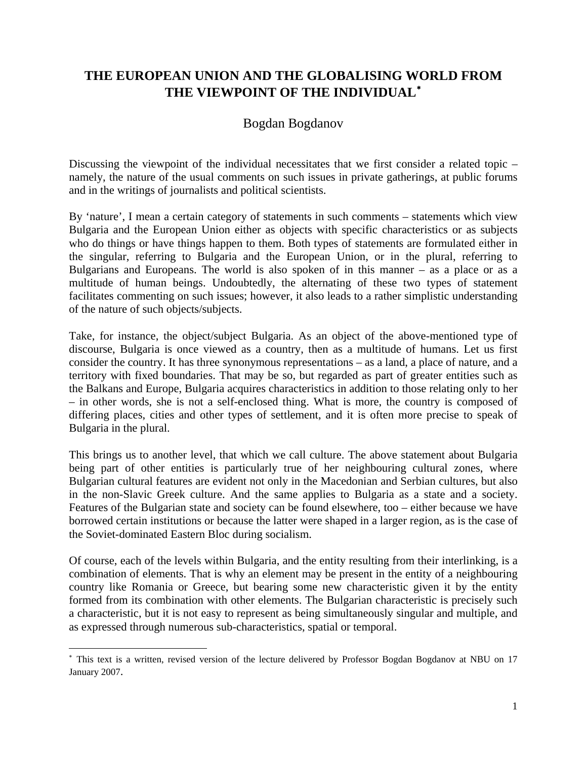## **THE EUROPEAN UNION AND THE GLOBALISING WORLD FROM THE VIEWPOINT OF THE INDIVIDUAL**[∗](#page-0-0)

## Bogdan Bogdanov

Discussing the viewpoint of the individual necessitates that we first consider a related topic – namely, the nature of the usual comments on such issues in private gatherings, at public forums and in the writings of journalists and political scientists.

By 'nature', I mean a certain category of statements in such comments – statements which view Bulgaria and the European Union either as objects with specific characteristics or as subjects who do things or have things happen to them. Both types of statements are formulated either in the singular, referring to Bulgaria and the European Union, or in the plural, referring to Bulgarians and Europeans. The world is also spoken of in this manner – as a place or as a multitude of human beings. Undoubtedly, the alternating of these two types of statement facilitates commenting on such issues; however, it also leads to a rather simplistic understanding of the nature of such objects/subjects.

Take, for instance, the object/subject Bulgaria. As an object of the above-mentioned type of discourse, Bulgaria is once viewed as a country, then as a multitude of humans. Let us first consider the country. It has three synonymous representations – as a land, a place of nature, and a territory with fixed boundaries. That may be so, but regarded as part of greater entities such as the Balkans and Europe, Bulgaria acquires characteristics in addition to those relating only to her – in other words, she is not a self-enclosed thing. What is more, the country is composed of differing places, cities and other types of settlement, and it is often more precise to speak of Bulgaria in the plural.

This brings us to another level, that which we call culture. The above statement about Bulgaria being part of other entities is particularly true of her neighbouring cultural zones, where Bulgarian cultural features are evident not only in the Macedonian and Serbian cultures, but also in the non-Slavic Greek culture. And the same applies to Bulgaria as a state and a society. Features of the Bulgarian state and society can be found elsewhere, too – either because we have borrowed certain institutions or because the latter were shaped in a larger region, as is the case of the Soviet-dominated Eastern Bloc during socialism.

Of course, each of the levels within Bulgaria, and the entity resulting from their interlinking, is a combination of elements. That is why an element may be present in the entity of a neighbouring country like Romania or Greece, but bearing some new characteristic given it by the entity formed from its combination with other elements. The Bulgarian characteristic is precisely such a characteristic, but it is not easy to represent as being simultaneously singular and multiple, and as expressed through numerous sub-characteristics, spatial or temporal.

<span id="page-0-0"></span><sup>∗</sup> This text is a written, revised version of the lecture delivered by Professor Bogdan Bogdanov at NBU on 17 January 2007.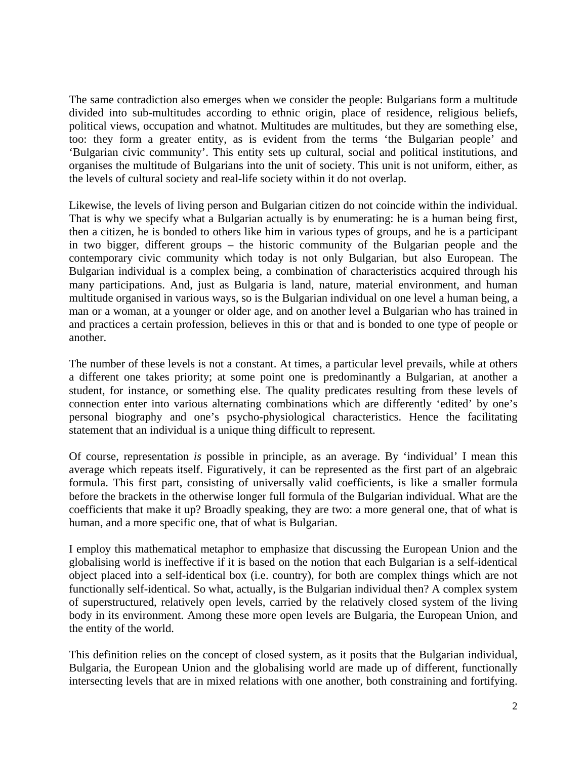The same contradiction also emerges when we consider the people: Bulgarians form a multitude divided into sub-multitudes according to ethnic origin, place of residence, religious beliefs, political views, occupation and whatnot. Multitudes are multitudes, but they are something else, too: they form a greater entity, as is evident from the terms 'the Bulgarian people' and 'Bulgarian civic community'. This entity sets up cultural, social and political institutions, and organises the multitude of Bulgarians into the unit of society. This unit is not uniform, either, as the levels of cultural society and real-life society within it do not overlap.

Likewise, the levels of living person and Bulgarian citizen do not coincide within the individual. That is why we specify what a Bulgarian actually is by enumerating: he is a human being first, then a citizen, he is bonded to others like him in various types of groups, and he is a participant in two bigger, different groups – the historic community of the Bulgarian people and the contemporary civic community which today is not only Bulgarian, but also European. The Bulgarian individual is a complex being, a combination of characteristics acquired through his many participations. And, just as Bulgaria is land, nature, material environment, and human multitude organised in various ways, so is the Bulgarian individual on one level a human being, a man or a woman, at a younger or older age, and on another level a Bulgarian who has trained in and practices a certain profession, believes in this or that and is bonded to one type of people or another.

The number of these levels is not a constant. At times, a particular level prevails, while at others a different one takes priority; at some point one is predominantly a Bulgarian, at another a student, for instance, or something else. The quality predicates resulting from these levels of connection enter into various alternating combinations which are differently 'edited' by one's personal biography and one's psycho-physiological characteristics. Hence the facilitating statement that an individual is a unique thing difficult to represent.

Of course, representation *is* possible in principle, as an average. By 'individual' I mean this average which repeats itself. Figuratively, it can be represented as the first part of an algebraic formula. This first part, consisting of universally valid coefficients, is like a smaller formula before the brackets in the otherwise longer full formula of the Bulgarian individual. What are the coefficients that make it up? Broadly speaking, they are two: a more general one, that of what is human, and a more specific one, that of what is Bulgarian.

I employ this mathematical metaphor to emphasize that discussing the European Union and the globalising world is ineffective if it is based on the notion that each Bulgarian is a self-identical object placed into a self-identical box (i.e. country), for both are complex things which are not functionally self-identical. So what, actually, is the Bulgarian individual then? A complex system of superstructured, relatively open levels, carried by the relatively closed system of the living body in its environment. Among these more open levels are Bulgaria, the European Union, and the entity of the world.

This definition relies on the concept of closed system, as it posits that the Bulgarian individual, Bulgaria, the European Union and the globalising world are made up of different, functionally intersecting levels that are in mixed relations with one another, both constraining and fortifying.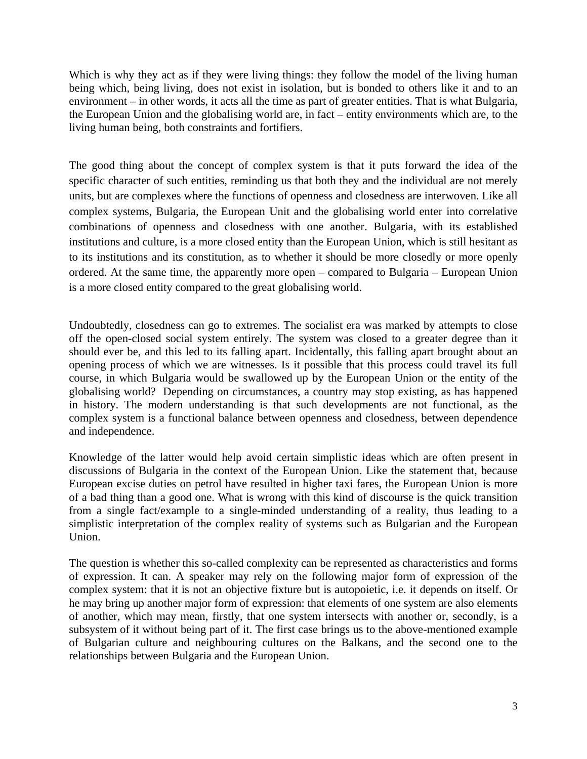Which is why they act as if they were living things: they follow the model of the living human being which, being living, does not exist in isolation, but is bonded to others like it and to an environment – in other words, it acts all the time as part of greater entities. That is what Bulgaria, the European Union and the globalising world are, in fact – entity environments which are, to the living human being, both constraints and fortifiers.

The good thing about the concept of complex system is that it puts forward the idea of the specific character of such entities, reminding us that both they and the individual are not merely units, but are complexes where the functions of openness and closedness are interwoven. Like all complex systems, Bulgaria, the European Unit and the globalising world enter into correlative combinations of openness and closedness with one another. Bulgaria, with its established institutions and culture, is a more closed entity than the European Union, which is still hesitant as to its institutions and its constitution, as to whether it should be more closedly or more openly ordered. At the same time, the apparently more open – compared to Bulgaria – European Union is a more closed entity compared to the great globalising world.

Undoubtedly, closedness can go to extremes. The socialist era was marked by attempts to close off the open-closed social system entirely. The system was closed to a greater degree than it should ever be, and this led to its falling apart. Incidentally, this falling apart brought about an opening process of which we are witnesses. Is it possible that this process could travel its full course, in which Bulgaria would be swallowed up by the European Union or the entity of the globalising world? Depending on circumstances, a country may stop existing, as has happened in history. The modern understanding is that such developments are not functional, as the complex system is a functional balance between openness and closedness, between dependence and independence.

Knowledge of the latter would help avoid certain simplistic ideas which are often present in discussions of Bulgaria in the context of the European Union. Like the statement that, because European excise duties on petrol have resulted in higher taxi fares, the European Union is more of a bad thing than a good one. What is wrong with this kind of discourse is the quick transition from a single fact/example to a single-minded understanding of a reality, thus leading to a simplistic interpretation of the complex reality of systems such as Bulgarian and the European Union.

The question is whether this so-called complexity can be represented as characteristics and forms of expression. It can. A speaker may rely on the following major form of expression of the complex system: that it is not an objective fixture but is autopoietic, i.e. it depends on itself. Or he may bring up another major form of expression: that elements of one system are also elements of another, which may mean, firstly, that one system intersects with another or, secondly, is a subsystem of it without being part of it. The first case brings us to the above-mentioned example of Bulgarian culture and neighbouring cultures on the Balkans, and the second one to the relationships between Bulgaria and the European Union.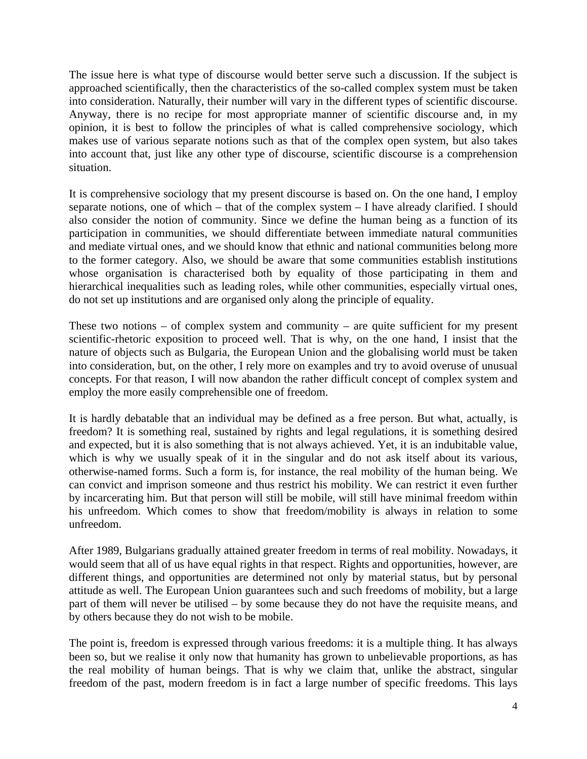The issue here is what type of discourse would better serve such a discussion. If the subject is approached scientifically, then the characteristics of the so-called complex system must be taken into consideration. Naturally, their number will vary in the different types of scientific discourse. Anyway, there is no recipe for most appropriate manner of scientific discourse and, in my opinion, it is best to follow the principles of what is called comprehensive sociology, which makes use of various separate notions such as that of the complex open system, but also takes into account that, just like any other type of discourse, scientific discourse is a comprehension situation.

It is comprehensive sociology that my present discourse is based on. On the one hand, I employ separate notions, one of which – that of the complex system – I have already clarified. I should also consider the notion of community. Since we define the human being as a function of its participation in communities, we should differentiate between immediate natural communities and mediate virtual ones, and we should know that ethnic and national communities belong more to the former category. Also, we should be aware that some communities establish institutions whose organisation is characterised both by equality of those participating in them and hierarchical inequalities such as leading roles, while other communities, especially virtual ones, do not set up institutions and are organised only along the principle of equality.

These two notions – of complex system and community – are quite sufficient for my present scientific-rhetoric exposition to proceed well. That is why, on the one hand, I insist that the nature of objects such as Bulgaria, the European Union and the globalising world must be taken into consideration, but, on the other, I rely more on examples and try to avoid overuse of unusual concepts. For that reason, I will now abandon the rather difficult concept of complex system and employ the more easily comprehensible one of freedom.

It is hardly debatable that an individual may be defined as a free person. But what, actually, is freedom? It is something real, sustained by rights and legal regulations, it is something desired and expected, but it is also something that is not always achieved. Yet, it is an indubitable value, which is why we usually speak of it in the singular and do not ask itself about its various, otherwise-named forms. Such a form is, for instance, the real mobility of the human being. We can convict and imprison someone and thus restrict his mobility. We can restrict it even further by incarcerating him. But that person will still be mobile, will still have minimal freedom within his unfreedom. Which comes to show that freedom/mobility is always in relation to some unfreedom.

After 1989, Bulgarians gradually attained greater freedom in terms of real mobility. Nowadays, it would seem that all of us have equal rights in that respect. Rights and opportunities, however, are different things, and opportunities are determined not only by material status, but by personal attitude as well. The European Union guarantees such and such freedoms of mobility, but a large part of them will never be utilised – by some because they do not have the requisite means, and by others because they do not wish to be mobile.

The point is, freedom is expressed through various freedoms: it is a multiple thing. It has always been so, but we realise it only now that humanity has grown to unbelievable proportions, as has the real mobility of human beings. That is why we claim that, unlike the abstract, singular freedom of the past, modern freedom is in fact a large number of specific freedoms. This lays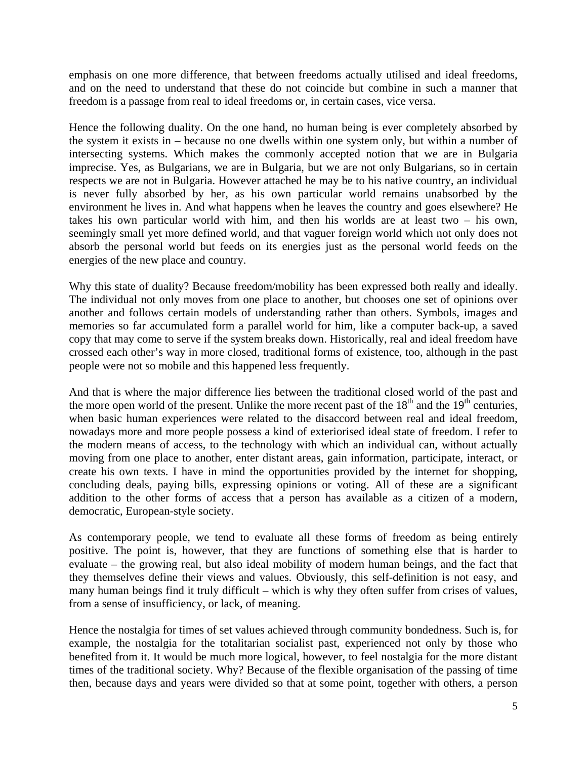emphasis on one more difference, that between freedoms actually utilised and ideal freedoms, and on the need to understand that these do not coincide but combine in such a manner that freedom is a passage from real to ideal freedoms or, in certain cases, vice versa.

Hence the following duality. On the one hand, no human being is ever completely absorbed by the system it exists in – because no one dwells within one system only, but within a number of intersecting systems. Which makes the commonly accepted notion that we are in Bulgaria imprecise. Yes, as Bulgarians, we are in Bulgaria, but we are not only Bulgarians, so in certain respects we are not in Bulgaria. However attached he may be to his native country, an individual is never fully absorbed by her, as his own particular world remains unabsorbed by the environment he lives in. And what happens when he leaves the country and goes elsewhere? He takes his own particular world with him, and then his worlds are at least two – his own, seemingly small yet more defined world, and that vaguer foreign world which not only does not absorb the personal world but feeds on its energies just as the personal world feeds on the energies of the new place and country.

Why this state of duality? Because freedom/mobility has been expressed both really and ideally. The individual not only moves from one place to another, but chooses one set of opinions over another and follows certain models of understanding rather than others. Symbols, images and memories so far accumulated form a parallel world for him, like a computer back-up, a saved copy that may come to serve if the system breaks down. Historically, real and ideal freedom have crossed each other's way in more closed, traditional forms of existence, too, although in the past people were not so mobile and this happened less frequently.

And that is where the major difference lies between the traditional closed world of the past and the more open world of the present. Unlike the more recent past of the  $18<sup>th</sup>$  and the  $19<sup>th</sup>$  centuries, when basic human experiences were related to the disaccord between real and ideal freedom, nowadays more and more people possess a kind of exteriorised ideal state of freedom. I refer to the modern means of access, to the technology with which an individual can, without actually moving from one place to another, enter distant areas, gain information, participate, interact, or create his own texts. I have in mind the opportunities provided by the internet for shopping, concluding deals, paying bills, expressing opinions or voting. All of these are a significant addition to the other forms of access that a person has available as a citizen of a modern, democratic, European-style society.

As contemporary people, we tend to evaluate all these forms of freedom as being entirely positive. The point is, however, that they are functions of something else that is harder to evaluate – the growing real, but also ideal mobility of modern human beings, and the fact that they themselves define their views and values. Obviously, this self-definition is not easy, and many human beings find it truly difficult – which is why they often suffer from crises of values, from a sense of insufficiency, or lack, of meaning.

Hence the nostalgia for times of set values achieved through community bondedness. Such is, for example, the nostalgia for the totalitarian socialist past, experienced not only by those who benefited from it. It would be much more logical, however, to feel nostalgia for the more distant times of the traditional society. Why? Because of the flexible organisation of the passing of time then, because days and years were divided so that at some point, together with others, a person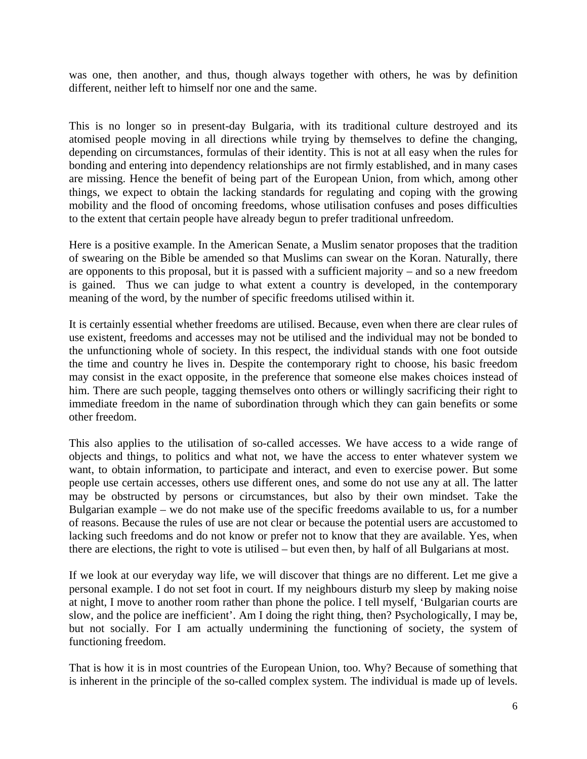was one, then another, and thus, though always together with others, he was by definition different, neither left to himself nor one and the same.

This is no longer so in present-day Bulgaria, with its traditional culture destroyed and its atomised people moving in all directions while trying by themselves to define the changing, depending on circumstances, formulas of their identity. This is not at all easy when the rules for bonding and entering into dependency relationships are not firmly established, and in many cases are missing. Hence the benefit of being part of the European Union, from which, among other things, we expect to obtain the lacking standards for regulating and coping with the growing mobility and the flood of oncoming freedoms, whose utilisation confuses and poses difficulties to the extent that certain people have already begun to prefer traditional unfreedom.

Here is a positive example. In the American Senate, a Muslim senator proposes that the tradition of swearing on the Bible be amended so that Muslims can swear on the Koran. Naturally, there are opponents to this proposal, but it is passed with a sufficient majority – and so a new freedom is gained. Thus we can judge to what extent a country is developed, in the contemporary meaning of the word, by the number of specific freedoms utilised within it.

It is certainly essential whether freedoms are utilised. Because, even when there are clear rules of use existent, freedoms and accesses may not be utilised and the individual may not be bonded to the unfunctioning whole of society. In this respect, the individual stands with one foot outside the time and country he lives in. Despite the contemporary right to choose, his basic freedom may consist in the exact opposite, in the preference that someone else makes choices instead of him. There are such people, tagging themselves onto others or willingly sacrificing their right to immediate freedom in the name of subordination through which they can gain benefits or some other freedom.

This also applies to the utilisation of so-called accesses. We have access to a wide range of objects and things, to politics and what not, we have the access to enter whatever system we want, to obtain information, to participate and interact, and even to exercise power. But some people use certain accesses, others use different ones, and some do not use any at all. The latter may be obstructed by persons or circumstances, but also by their own mindset. Take the Bulgarian example – we do not make use of the specific freedoms available to us, for a number of reasons. Because the rules of use are not clear or because the potential users are accustomed to lacking such freedoms and do not know or prefer not to know that they are available. Yes, when there are elections, the right to vote is utilised – but even then, by half of all Bulgarians at most.

If we look at our everyday way life, we will discover that things are no different. Let me give a personal example. I do not set foot in court. If my neighbours disturb my sleep by making noise at night, I move to another room rather than phone the police. I tell myself, 'Bulgarian courts are slow, and the police are inefficient'. Am I doing the right thing, then? Psychologically, I may be, but not socially. For I am actually undermining the functioning of society, the system of functioning freedom.

That is how it is in most countries of the European Union, too. Why? Because of something that is inherent in the principle of the so-called complex system. The individual is made up of levels.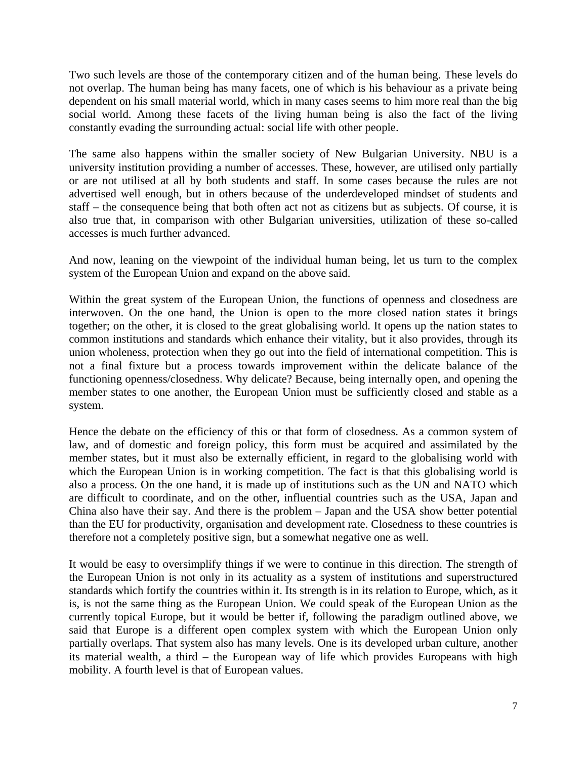Two such levels are those of the contemporary citizen and of the human being. These levels do not overlap. The human being has many facets, one of which is his behaviour as a private being dependent on his small material world, which in many cases seems to him more real than the big social world. Among these facets of the living human being is also the fact of the living constantly evading the surrounding actual: social life with other people.

The same also happens within the smaller society of New Bulgarian University. NBU is a university institution providing a number of accesses. These, however, are utilised only partially or are not utilised at all by both students and staff. In some cases because the rules are not advertised well enough, but in others because of the underdeveloped mindset of students and staff – the consequence being that both often act not as citizens but as subjects. Of course, it is also true that, in comparison with other Bulgarian universities, utilization of these so-called accesses is much further advanced.

And now, leaning on the viewpoint of the individual human being, let us turn to the complex system of the European Union and expand on the above said.

Within the great system of the European Union, the functions of openness and closedness are interwoven. On the one hand, the Union is open to the more closed nation states it brings together; on the other, it is closed to the great globalising world. It opens up the nation states to common institutions and standards which enhance their vitality, but it also provides, through its union wholeness, protection when they go out into the field of international competition. This is not a final fixture but a process towards improvement within the delicate balance of the functioning openness/closedness. Why delicate? Because, being internally open, and opening the member states to one another, the European Union must be sufficiently closed and stable as a system.

Hence the debate on the efficiency of this or that form of closedness. As a common system of law, and of domestic and foreign policy, this form must be acquired and assimilated by the member states, but it must also be externally efficient, in regard to the globalising world with which the European Union is in working competition. The fact is that this globalising world is also a process. On the one hand, it is made up of institutions such as the UN and NATO which are difficult to coordinate, and on the other, influential countries such as the USA, Japan and China also have their say. And there is the problem – Japan and the USA show better potential than the EU for productivity, organisation and development rate. Closedness to these countries is therefore not a completely positive sign, but a somewhat negative one as well.

It would be easy to oversimplify things if we were to continue in this direction. The strength of the European Union is not only in its actuality as a system of institutions and superstructured standards which fortify the countries within it. Its strength is in its relation to Europe, which, as it is, is not the same thing as the European Union. We could speak of the European Union as the currently topical Europe, but it would be better if, following the paradigm outlined above, we said that Europe is a different open complex system with which the European Union only partially overlaps. That system also has many levels. One is its developed urban culture, another its material wealth, a third – the European way of life which provides Europeans with high mobility. A fourth level is that of European values.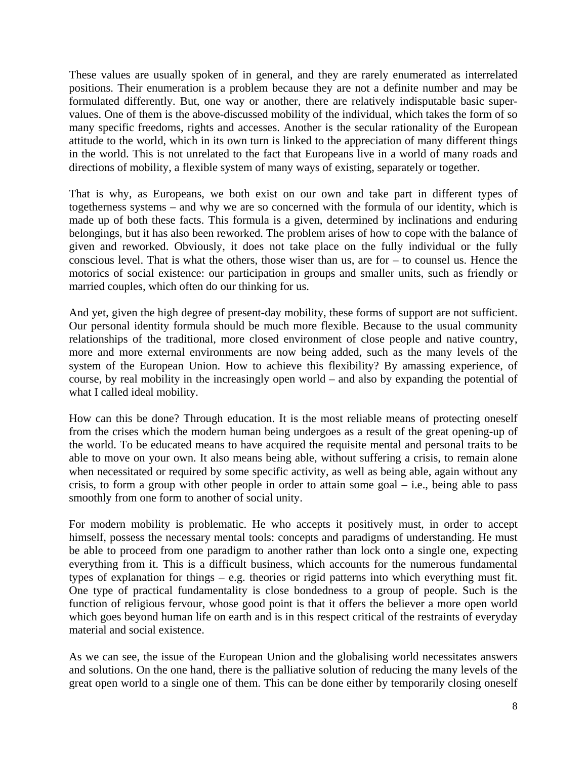These values are usually spoken of in general, and they are rarely enumerated as interrelated positions. Their enumeration is a problem because they are not a definite number and may be formulated differently. But, one way or another, there are relatively indisputable basic supervalues. One of them is the above-discussed mobility of the individual, which takes the form of so many specific freedoms, rights and accesses. Another is the secular rationality of the European attitude to the world, which in its own turn is linked to the appreciation of many different things in the world. This is not unrelated to the fact that Europeans live in a world of many roads and directions of mobility, a flexible system of many ways of existing, separately or together.

That is why, as Europeans, we both exist on our own and take part in different types of togetherness systems – and why we are so concerned with the formula of our identity, which is made up of both these facts. This formula is a given, determined by inclinations and enduring belongings, but it has also been reworked. The problem arises of how to cope with the balance of given and reworked. Obviously, it does not take place on the fully individual or the fully conscious level. That is what the others, those wiser than us, are for – to counsel us. Hence the motorics of social existence: our participation in groups and smaller units, such as friendly or married couples, which often do our thinking for us.

And yet, given the high degree of present-day mobility, these forms of support are not sufficient. Our personal identity formula should be much more flexible. Because to the usual community relationships of the traditional, more closed environment of close people and native country, more and more external environments are now being added, such as the many levels of the system of the European Union. How to achieve this flexibility? By amassing experience, of course, by real mobility in the increasingly open world – and also by expanding the potential of what I called ideal mobility.

How can this be done? Through education. It is the most reliable means of protecting oneself from the crises which the modern human being undergoes as a result of the great opening-up of the world. To be educated means to have acquired the requisite mental and personal traits to be able to move on your own. It also means being able, without suffering a crisis, to remain alone when necessitated or required by some specific activity, as well as being able, again without any crisis, to form a group with other people in order to attain some goal – i.e., being able to pass smoothly from one form to another of social unity.

For modern mobility is problematic. He who accepts it positively must, in order to accept himself, possess the necessary mental tools: concepts and paradigms of understanding. He must be able to proceed from one paradigm to another rather than lock onto a single one, expecting everything from it. This is a difficult business, which accounts for the numerous fundamental types of explanation for things – e.g. theories or rigid patterns into which everything must fit. One type of practical fundamentality is close bondedness to a group of people. Such is the function of religious fervour, whose good point is that it offers the believer a more open world which goes beyond human life on earth and is in this respect critical of the restraints of everyday material and social existence.

As we can see, the issue of the European Union and the globalising world necessitates answers and solutions. On the one hand, there is the palliative solution of reducing the many levels of the great open world to a single one of them. This can be done either by temporarily closing oneself